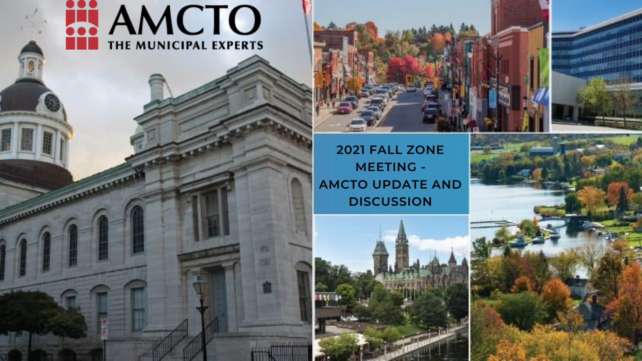



### **2021 FALL ZONE MEETING - AMCTO UPDATE AND DISCUSSION**



**UNION HIGH** 

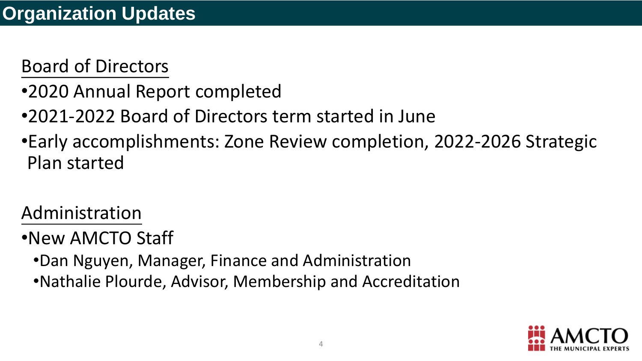### **Organization Updates**



### Board of Directors

- •2020 Annual Report completed
- •2021-2022 Board of Directors term started in June
- Plan started

## •Early accomplishments: Zone Review completion, 2022-2026 Strategic



### Administration

### •New AMCTO Staff

- •Dan Nguyen, Manager, Finance and Administration
- •Nathalie Plourde, Advisor, Membership and Accreditation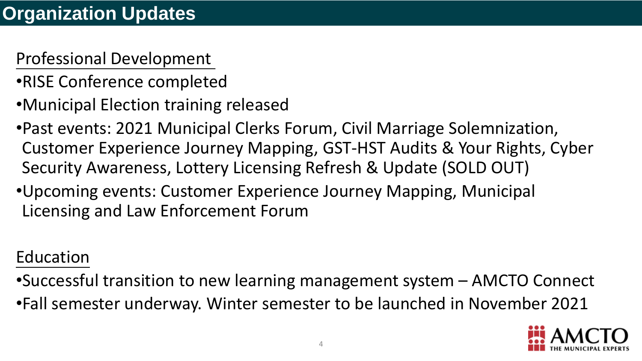### **Organization Updates**



### Professional Development

Customer Experience Journey Mapping, GST-HST Audits & Your Rights, Cyber

- •RISE Conference completed
- •Municipal Election training released
- •Past events: 2021 Municipal Clerks Forum, Civil Marriage Solemnization, Security Awareness, Lottery Licensing Refresh & Update (SOLD OUT)
- •Upcoming events: Customer Experience Journey Mapping, Municipal Licensing and Law Enforcement Forum

### Education

- 
- 

•Successful transition to new learning management system – AMCTO Connect •Fall semester underway. Winter semester to be launched in November 2021

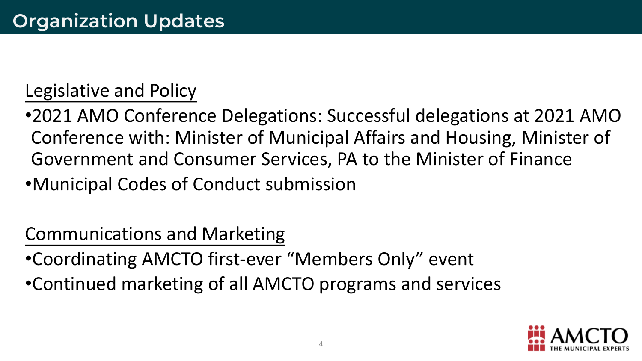### **Organization Updates**



### Legislative and Policy

•2021 AMO Conference Delegations: Successful delegations at 2021 AMO Conference with: Minister of Municipal Affairs and Housing, Minister of Government and Consumer Services, PA to the Minister of Finance



- 
- •Municipal Codes of Conduct submission

Communications and Marketing

- •Coordinating AMCTO first-ever "Members Only" event
- •Continued marketing of all AMCTO programs and services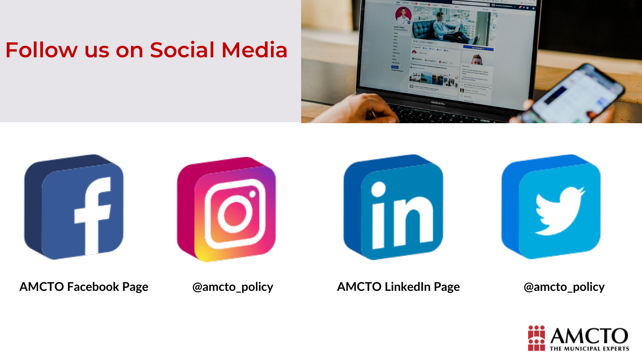







### **Follow us on Social Media**





### **AMCTO Facebook Page @amcto\_policy AMCTO LinkedIn Page @amcto\_policy**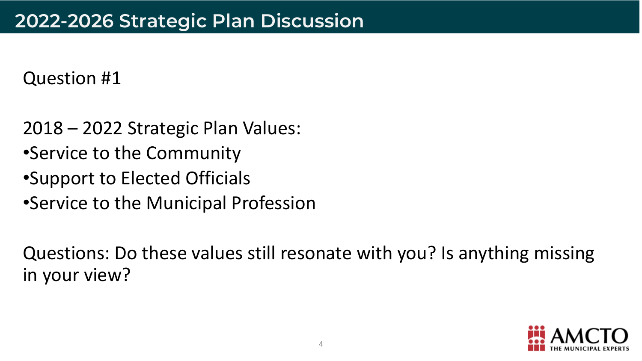### Question #1

- 2018 2022 Strategic Plan Values:
- •Service to the Community
- •Support to Elected Officials
- •Service to the Municipal Profession

### Questions: Do these values still resonate with you? Is anything missing



in your view?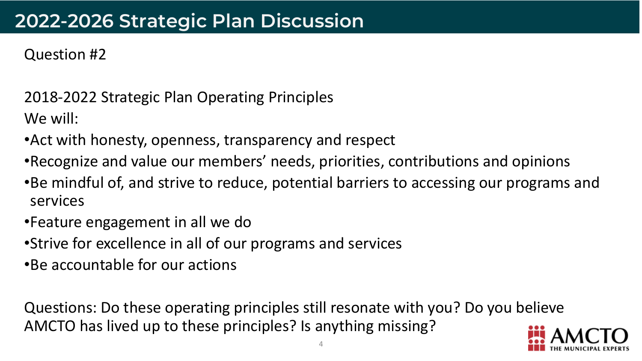### **2022-2026 Strategic Plan Discussion**

2018-2022 Strategic Plan Operating Principles We will:



### Question #2

- •Act with honesty, openness, transparency and respect
- •Recognize and value our members' needs, priorities, contributions and opinions
- •Be mindful of, and strive to reduce, potential barriers to accessing our programs and services
- •Feature engagement in all we do
- •Strive for excellence in all of our programs and services
- •Be accountable for our actions

Questions: Do these operating principles still resonate with you? Do you believe AMCTO has lived up to these principles? Is anything missing?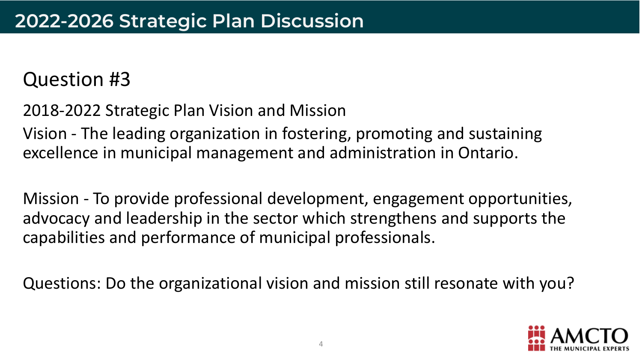### Question #3

2018-2022 Strategic Plan Vision and Mission Vision - The leading organization in fostering, promoting and sustaining excellence in municipal management and administration in Ontario.

Mission - To provide professional development, engagement opportunities, advocacy and leadership in the sector which strengthens and supports the capabilities and performance of municipal professionals.

Questions: Do the organizational vision and mission still resonate with you?

- 
- 
- 
- 

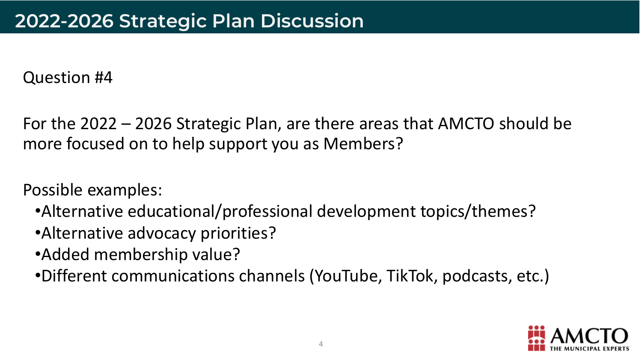### Question #4

For the 2022 – 2026 Strategic Plan, are there areas that AMCTO should be more focused on to help support you as Members?

Possible examples:

- •Alternative educational/professional development topics/themes?
- •Alternative advocacy priorities?
- •Added membership value?
- •Different communications channels (YouTube, TikTok, podcasts, etc.)